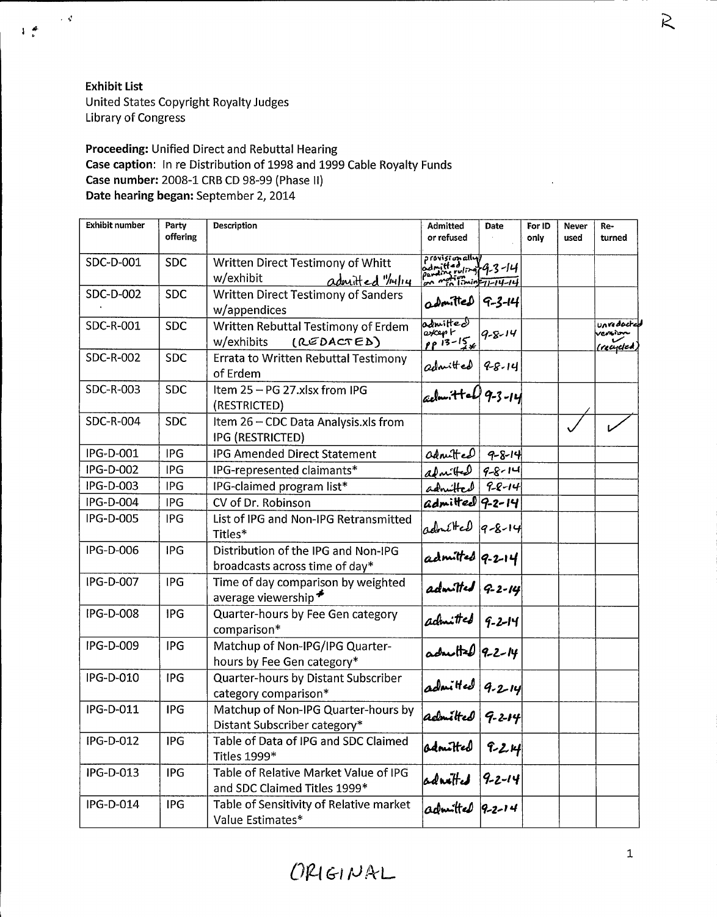Exhibit List United States Copyright Royalty Judges Library of Congress

 $\sim 3$ 

 $1<sup>4</sup>$ 

## Proceeding: Unified Direct and Rebuttal Hearing Case caption: In re Distribution of 1998 and 1999 Cable Royalty Funds Case number: 2008-1 CRB CD 98-99 (Phase II) Date hearing began: September 2, 2014

| <b>Exhibit number</b> | Party<br>offering | Description                                                           | <b>Admitted</b><br>or refused                                                       | Date         | For ID<br>only | <b>Never</b><br>used | Re-<br>turned                           |
|-----------------------|-------------------|-----------------------------------------------------------------------|-------------------------------------------------------------------------------------|--------------|----------------|----------------------|-----------------------------------------|
| SDC-D-001             | <b>SDC</b>        | Written Direct Testimony of Whitt<br>w/exhibit<br>admitted "/14/14    | provisionally)<br>pamilted uling 4-3-14<br>pamilix ruling<br>por men limin=11-14-14 |              |                |                      |                                         |
| SDC-D-002             | <b>SDC</b>        | <b>Written Direct Testimony of Sanders</b><br>w/appendices            | admitted 9-3-14                                                                     |              |                |                      |                                         |
| SDC-R-001             | <b>SDC</b>        | Written Rebuttal Testimony of Erdem<br>(REDACTED)<br>w/exhibits       | admitted<br>excep r<br>$pp$ $13-156$                                                | $9 - 8 - 14$ |                |                      | unredocted<br>remin<br><u>(recycled</u> |
| SDC-R-002             | <b>SDC</b>        | Errata to Written Rebuttal Testimony<br>of Erdem                      | $\omega$ dnitted $ 9-8-14 $                                                         |              |                |                      |                                         |
| SDC-R-003             | <b>SDC</b>        | Item 25 - PG 27.xlsx from IPG<br>(RESTRICTED)                         | celon: Hall 9-3-14                                                                  |              |                |                      |                                         |
| <b>SDC-R-004</b>      | <b>SDC</b>        | Item 26 - CDC Data Analysis.xls from<br>IPG (RESTRICTED)              |                                                                                     |              |                |                      |                                         |
| IPG-D-001             | <b>IPG</b>        | <b>IPG Amended Direct Statement</b>                                   | admitted                                                                            | $9 - 8 - 14$ |                |                      |                                         |
| IPG-D-002             | <b>IPG</b>        | IPG-represented claimants*                                            | adní Hed                                                                            | $9 - 8 - 14$ |                |                      |                                         |
| IPG-D-003             | IPG               | IPG-claimed program list*                                             | admitted                                                                            | $9 - 8 - 14$ |                |                      |                                         |
| IPG-D-004             | IPG               | CV of Dr. Robinson                                                    | $admitee$ 9-2-14                                                                    |              |                |                      |                                         |
| IPG-D-005             | IPG               | List of IPG and Non-IPG Retransmitted<br>Titles*                      | $admHed q-8-14 $                                                                    |              |                |                      |                                         |
| IPG-D-006             | IPG               | Distribution of the IPG and Non-IPG<br>broadcasts across time of day* | admitted 9-2-14                                                                     |              |                |                      |                                         |
| IPG-D-007             | <b>IPG</b>        | Time of day comparison by weighted<br>average viewership <sup>≢</sup> | admitted 9-2-14                                                                     |              |                |                      |                                         |
| IPG-D-008             | <b>IPG</b>        | Quarter-hours by Fee Gen category<br>comparison*                      | admitted $ q$ -2-14                                                                 |              |                |                      |                                         |
| IPG-D-009             | <b>IPG</b>        | Matchup of Non-IPG/IPG Quarter-<br>hours by Fee Gen category*         | $\frac{1}{100}$ admitted 9-2-14                                                     |              |                |                      |                                         |
| IPG-D-010             | <b>IPG</b>        | Quarter-hours by Distant Subscriber<br>category comparison*           | admitted 9-2-14<br>admitted 9-2-14                                                  |              |                |                      |                                         |
| IPG-D-011             | IPG               | Matchup of Non-IPG Quarter-hours by<br>Distant Subscriber category*   |                                                                                     |              |                |                      |                                         |
| IPG-D-012             | IPG               | Table of Data of IPG and SDC Claimed<br>Titles 1999*                  | adnitted                                                                            | $7 - 24$     |                |                      |                                         |
| IPG-D-013             | <b>IPG</b>        | Table of Relative Market Value of IPG<br>and SDC Claimed Titles 1999* | admitted 9-2-14                                                                     |              |                |                      |                                         |
| IPG-D-014             | <b>IPG</b>        | Table of Sensitivity of Relative market<br>Value Estimates*           |                                                                                     |              |                |                      |                                         |

 $\tilde{\kappa}$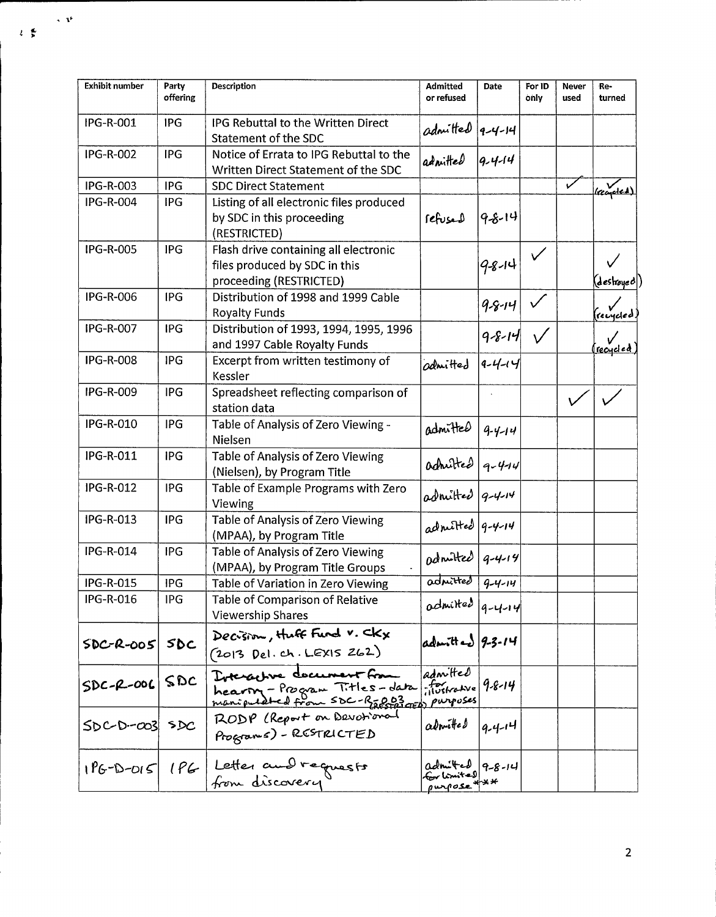| <b>Exhibit number</b> | Party<br>offering | Description                                                                                       | <b>Admitted</b><br>or refused                | Date         | For ID<br>only | Never<br>used | Re-<br>turned   |
|-----------------------|-------------------|---------------------------------------------------------------------------------------------------|----------------------------------------------|--------------|----------------|---------------|-----------------|
| IPG-R-001             | IPG               | IPG Rebuttal to the Written Direct<br>Statement of the SDC                                        | admitted 9-4-14                              |              |                |               |                 |
| IPG-R-002             | <b>IPG</b>        | Notice of Errata to IPG Rebuttal to the<br>Written Direct Statement of the SDC                    | admitted                                     | $9 - 4 - 14$ |                |               |                 |
| IPG-R-003             | <b>IPG</b>        | <b>SDC Direct Statement</b>                                                                       |                                              |              |                | V             | lreaded)        |
| <b>IPG-R-004</b>      | IPG               | Listing of all electronic files produced<br>by SDC in this proceeding<br>(RESTRICTED)             | refused                                      | 98-14        |                |               |                 |
| <b>IPG-R-005</b>      | IPG               | Flash drive containing all electronic<br>files produced by SDC in this<br>proceeding (RESTRICTED) |                                              | 9-8-14       |                |               | (deshoyed )     |
| <b>IPG-R-006</b>      | IPG               | Distribution of 1998 and 1999 Cable<br><b>Royalty Funds</b>                                       |                                              | $9 - 8 - 14$ |                |               | recycled        |
| <b>IPG-R-007</b>      | <b>IPG</b>        | Distribution of 1993, 1994, 1995, 1996<br>and 1997 Cable Royalty Funds                            |                                              | $9 - 8 - 14$ |                |               | <u>recycled</u> |
| <b>IPG-R-008</b>      | IPG               | Excerpt from written testimony of<br>Kessler                                                      | admitted                                     | $9 - 4 - 14$ |                |               |                 |
| IPG-R-009             | IPG               | Spreadsheet reflecting comparison of<br>station data                                              |                                              |              |                |               |                 |
| IPG-R-010             | <b>IPG</b>        | Table of Analysis of Zero Viewing -<br>Nielsen                                                    | admitted                                     | $9 - 4 - 14$ |                |               |                 |
| IPG-R-011             | IPG               | Table of Analysis of Zero Viewing<br>(Nielsen), by Program Title                                  | admitted 9-4-14                              |              |                |               |                 |
| IPG-R-012             | <b>IPG</b>        | Table of Example Programs with Zero<br>Viewing                                                    | $\alpha$ druitted $ q-\gamma-\gamma $        |              |                |               |                 |
| IPG-R-013             | <b>IPG</b>        | Table of Analysis of Zero Viewing<br>(MPAA), by Program Title                                     | admitted 9-4-14                              |              |                |               |                 |
| IPG-R-014             | IPG               | Table of Analysis of Zero Viewing<br>(MPAA), by Program Title Groups                              | odnuted $ q-4-14 $                           |              |                |               |                 |
| IPG-R-015             | <b>IPG</b>        | Table of Variation in Zero Viewing                                                                | admitted                                     | $9 - 4 - 14$ |                |               |                 |
| IPG-R-016             | IPG               | Table of Comparison of Relative<br><b>Viewership Shares</b>                                       | $odm$ ited $ q - 4 - 14 $                    |              |                |               |                 |
| $SDC-R-OOS$           | SDC               | Decision, Huff Fund V. CKX<br>$(2013$ Del. ch. LEXIS 262)                                         | $admited$ 9-3-14                             |              |                |               |                 |
| $SDC-P-OOC$ $SDC$     |                   | Doteractive document from<br>hearing - Program Titles-data fortrative                             | admitted<br>$765$ kotve 9-8-14               |              |                |               |                 |
| $SDC-D-cos$ $SDC$     |                   | RODP (Report on Devotional<br>Programs) - RESTRICTED                                              | admitted                                     | $9 - 4 - 14$ |                |               |                 |
| $1P6 - D - D15$       | 1PC               | Letter and requests                                                                               | admitted 9-8-14<br>Externited<br>purpose *** |              |                |               |                 |

 $\propto \Lambda^4$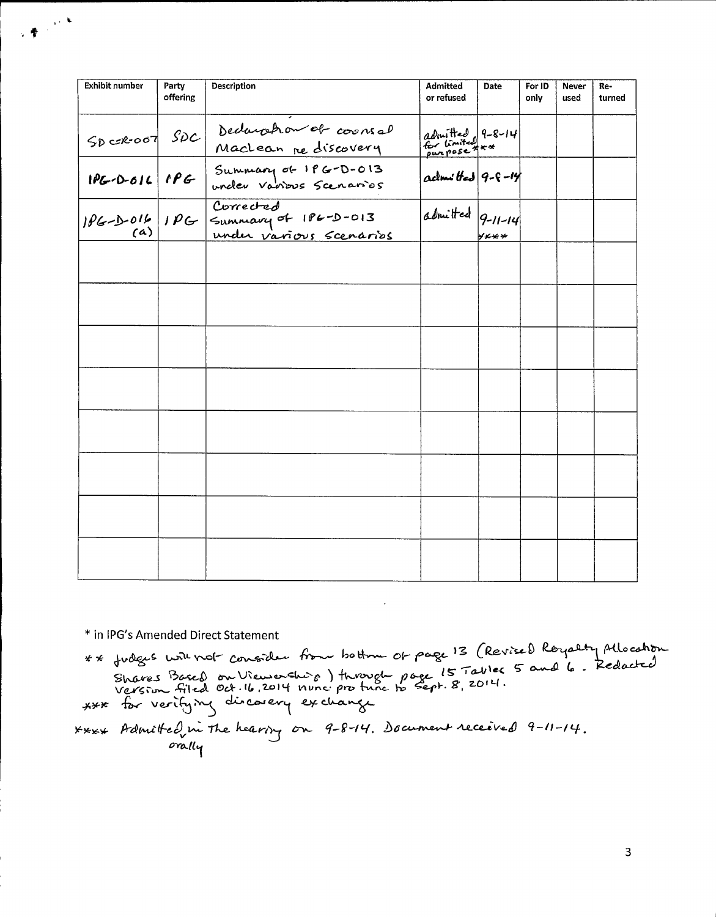| <b>Exhibit number</b> | Party<br>offering | Description                                                       | Admitted<br>or refused            | Date  | For ID<br>only | <b>Never</b><br>used | Re-<br>turned |
|-----------------------|-------------------|-------------------------------------------------------------------|-----------------------------------|-------|----------------|----------------------|---------------|
| $SOC R-007$ $SDC$     |                   | Dedaration of coorsel<br>Maclean re discovery                     | admitted 9-8-14<br>for Limited xx |       |                |                      |               |
|                       |                   | 1PG-0-016 1PG Summary of 1PG-D-013                                | $\alpha$ closs the $ 9 - 6 - 14 $ |       |                |                      |               |
|                       |                   | 1PG-D-016 1PG Summary of 1PG-D-013<br>(a) PG Summary of 1PG-D-013 | admitted 9-11-14                  | yxx y |                |                      |               |
|                       |                   |                                                                   |                                   |       |                |                      |               |
|                       |                   |                                                                   |                                   |       |                |                      |               |
|                       |                   |                                                                   |                                   |       |                |                      |               |
|                       |                   |                                                                   |                                   |       |                |                      |               |
|                       |                   |                                                                   |                                   |       |                |                      |               |
|                       |                   |                                                                   |                                   |       |                |                      |               |
|                       |                   |                                                                   |                                   |       |                |                      |               |
|                       |                   |                                                                   |                                   |       |                |                      |               |

\* in IPG's Amended Direct Statement

1章 10年<br>12章

# \* fudges with not consider from bottom of page 13 (Revised Royalty Allocation - Consider of<br>on Viewershi<br><sup>non 11</sup> 3014 in goog<br>Shares Based on Viewenshorg ) through page<br>Version filed Oct. 16, 2014 nunc pro tune to seg

For verifying concorery  $*_{x}$  Admitted in the heaving on 9-8-14. Document received 9-11-14.